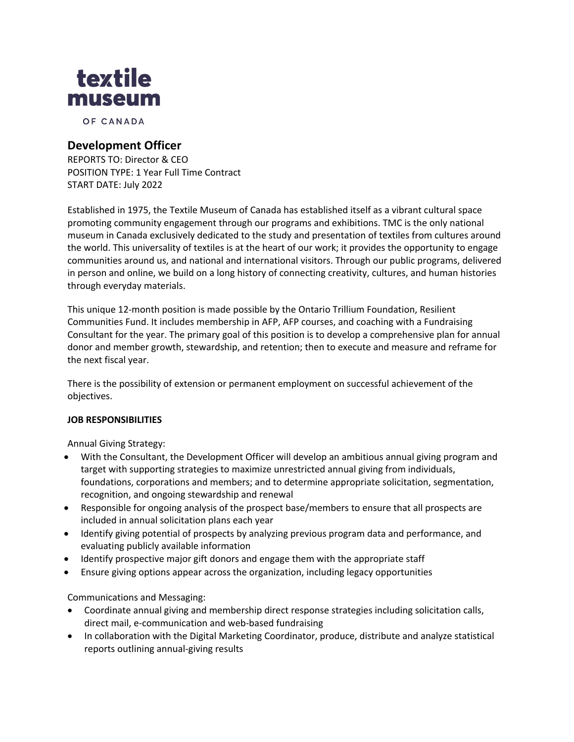

OF CANADA

# **Development Officer**

REPORTS TO: Director & CEO POSITION TYPE: 1 Year Full Time Contract START DATE: July 2022

Established in 1975, the Textile Museum of Canada has established itself as a vibrant cultural space promoting community engagement through our programs and exhibitions. TMC is the only national museum in Canada exclusively dedicated to the study and presentation of textiles from cultures around the world. This universality of textiles is at the heart of our work; it provides the opportunity to engage communities around us, and national and international visitors. Through our public programs, delivered in person and online, we build on a long history of connecting creativity, cultures, and human histories through everyday materials.

This unique 12-month position is made possible by the Ontario Trillium Foundation, Resilient Communities Fund. It includes membership in AFP, AFP courses, and coaching with a Fundraising Consultant for the year. The primary goal of this position is to develop a comprehensive plan for annual donor and member growth, stewardship, and retention; then to execute and measure and reframe for the next fiscal year.

There is the possibility of extension or permanent employment on successful achievement of the objectives.

## **JOB RESPONSIBILITIES**

Annual Giving Strategy:

- With the Consultant, the Development Officer will develop an ambitious annual giving program and target with supporting strategies to maximize unrestricted annual giving from individuals, foundations, corporations and members; and to determine appropriate solicitation, segmentation, recognition, and ongoing stewardship and renewal
- Responsible for ongoing analysis of the prospect base/members to ensure that all prospects are included in annual solicitation plans each year
- Identify giving potential of prospects by analyzing previous program data and performance, and evaluating publicly available information
- Identify prospective major gift donors and engage them with the appropriate staff
- Ensure giving options appear across the organization, including legacy opportunities

Communications and Messaging:

- Coordinate annual giving and membership direct response strategies including solicitation calls, direct mail, e-communication and web-based fundraising
- In collaboration with the Digital Marketing Coordinator, produce, distribute and analyze statistical reports outlining annual-giving results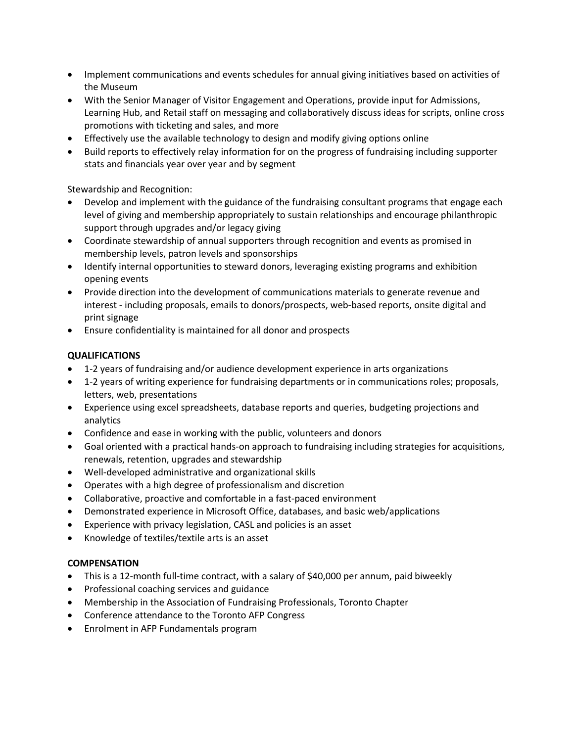- Implement communications and events schedules for annual giving initiatives based on activities of the Museum
- With the Senior Manager of Visitor Engagement and Operations, provide input for Admissions, Learning Hub, and Retail staff on messaging and collaboratively discuss ideas for scripts, online cross promotions with ticketing and sales, and more
- Effectively use the available technology to design and modify giving options online
- Build reports to effectively relay information for on the progress of fundraising including supporter stats and financials year over year and by segment

Stewardship and Recognition:

- Develop and implement with the guidance of the fundraising consultant programs that engage each level of giving and membership appropriately to sustain relationships and encourage philanthropic support through upgrades and/or legacy giving
- Coordinate stewardship of annual supporters through recognition and events as promised in membership levels, patron levels and sponsorships
- Identify internal opportunities to steward donors, leveraging existing programs and exhibition opening events
- Provide direction into the development of communications materials to generate revenue and interest - including proposals, emails to donors/prospects, web-based reports, onsite digital and print signage
- Ensure confidentiality is maintained for all donor and prospects

# **QUALIFICATIONS**

- 1-2 years of fundraising and/or audience development experience in arts organizations
- 1-2 years of writing experience for fundraising departments or in communications roles; proposals, letters, web, presentations
- Experience using excel spreadsheets, database reports and queries, budgeting projections and analytics
- Confidence and ease in working with the public, volunteers and donors
- Goal oriented with a practical hands-on approach to fundraising including strategies for acquisitions, renewals, retention, upgrades and stewardship
- Well-developed administrative and organizational skills
- Operates with a high degree of professionalism and discretion
- Collaborative, proactive and comfortable in a fast-paced environment
- Demonstrated experience in Microsoft Office, databases, and basic web/applications
- Experience with privacy legislation, CASL and policies is an asset
- Knowledge of textiles/textile arts is an asset

## **COMPENSATION**

- This is a 12-month full-time contract, with a salary of \$40,000 per annum, paid biweekly
- Professional coaching services and guidance
- Membership in the Association of Fundraising Professionals, Toronto Chapter
- Conference attendance to the Toronto AFP Congress
- Enrolment in AFP Fundamentals program